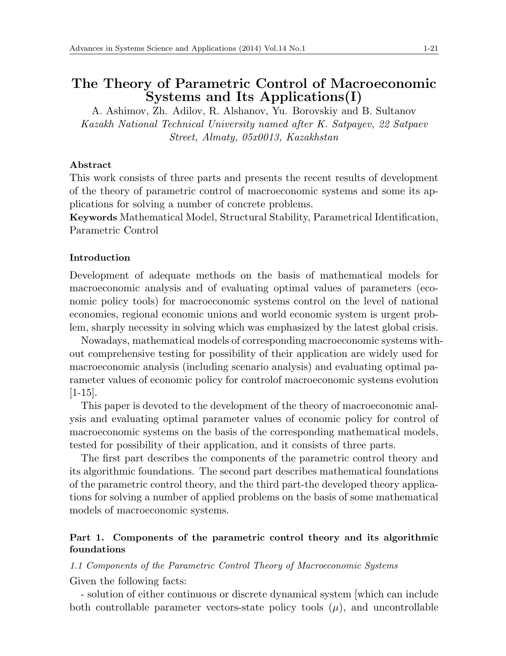# **The Theory of Parametric Control of Macroeconomic Systems and Its Applications(I)**

A. Ashimov, Zh. Adilov, R. Alshanov, Yu. Borovskiy and B. Sultanov *Kazakh National Technical University named after K. Satpayev, 22 Satpaev Street, Almaty, 05x0013, Kazakhstan*

# **Abstract**

This work consists of three parts and presents the recent results of development of the theory of parametric control of macroeconomic systems and some its applications for solving a number of concrete problems.

**Keywords** Mathematical Model, Structural Stability, Parametrical Identification, Parametric Control

## **Introduction**

Development of adequate methods on the basis of mathematical models for macroeconomic analysis and of evaluating optimal values of parameters (economic policy tools) for macroeconomic systems control on the level of national economies, regional economic unions and world economic system is urgent problem, sharply necessity in solving which was emphasized by the latest global crisis.

Nowadays, mathematical models of corresponding macroeconomic systems without comprehensive testing for possibility of their application are widely used for macroeconomic analysis (including scenario analysis) and evaluating optimal parameter values of economic policy for controlof macroeconomic systems evolution [1-15].

This paper is devoted to the development of the theory of macroeconomic analysis and evaluating optimal parameter values of economic policy for control of macroeconomic systems on the basis of the corresponding mathematical models, tested for possibility of their application, and it consists of three parts.

The first part describes the components of the parametric control theory and its algorithmic foundations. The second part describes mathematical foundations of the parametric control theory, and the third part-the developed theory applications for solving a number of applied problems on the basis of some mathematical models of macroeconomic systems.

# **Part 1. Components of the parametric control theory and its algorithmic foundations**

*1.1 Components of the Parametric Control Theory of Macroeconomic Systems*

Given the following facts:

- solution of either continuous or discrete dynamical system [which can include both controllable parameter vectors-state policy tools  $(\mu)$ , and uncontrollable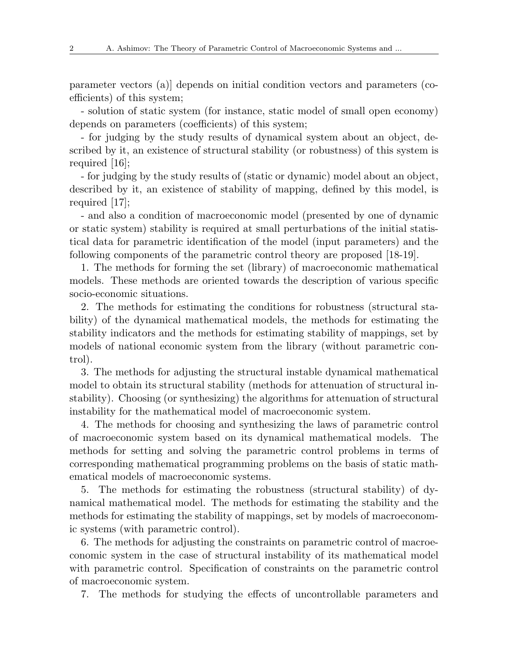parameter vectors (a)] depends on initial condition vectors and parameters (coefficients) of this system;

- solution of static system (for instance, static model of small open economy) depends on parameters (coefficients) of this system;

- for judging by the study results of dynamical system about an object, described by it, an existence of structural stability (or robustness) of this system is required [16];

- for judging by the study results of (static or dynamic) model about an object, described by it, an existence of stability of mapping, defined by this model, is required [17];

- and also a condition of macroeconomic model (presented by one of dynamic or static system) stability is required at small perturbations of the initial statistical data for parametric identification of the model (input parameters) and the following components of the parametric control theory are proposed [18-19].

1. The methods for forming the set (library) of macroeconomic mathematical models. These methods are oriented towards the description of various specific socio-economic situations.

2. The methods for estimating the conditions for robustness (structural stability) of the dynamical mathematical models, the methods for estimating the stability indicators and the methods for estimating stability of mappings, set by models of national economic system from the library (without parametric control).

3. The methods for adjusting the structural instable dynamical mathematical model to obtain its structural stability (methods for attenuation of structural instability). Choosing (or synthesizing) the algorithms for attenuation of structural instability for the mathematical model of macroeconomic system.

4. The methods for choosing and synthesizing the laws of parametric control of macroeconomic system based on its dynamical mathematical models. The methods for setting and solving the parametric control problems in terms of corresponding mathematical programming problems on the basis of static mathematical models of macroeconomic systems.

5. The methods for estimating the robustness (structural stability) of dynamical mathematical model. The methods for estimating the stability and the methods for estimating the stability of mappings, set by models of macroeconomic systems (with parametric control).

6. The methods for adjusting the constraints on parametric control of macroeconomic system in the case of structural instability of its mathematical model with parametric control. Specification of constraints on the parametric control of macroeconomic system.

7. The methods for studying the effects of uncontrollable parameters and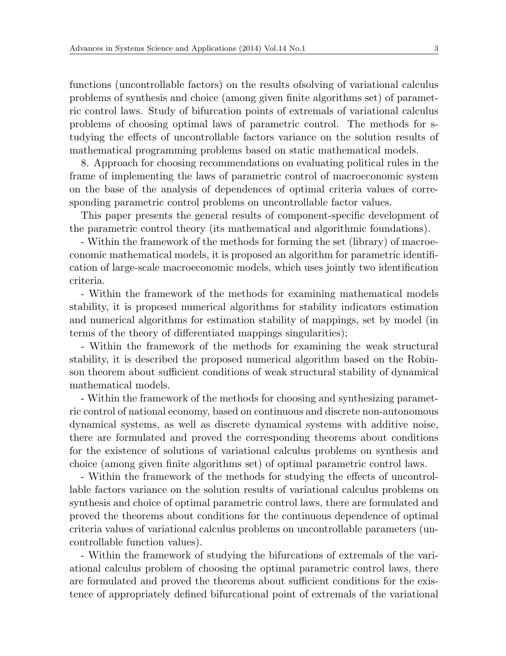functions (uncontrollable factors) on the results ofsolving of variational calculus problems of synthesis and choice (among given finite algorithms set) of parametric control laws. Study of bifurcation points of extremals of variational calculus problems of choosing optimal laws of parametric control. The methods for studying the effects of uncontrollable factors variance on the solution results of mathematical programming problems based on static mathematical models.

8. Approach for choosing recommendations on evaluating political rules in the frame of implementing the laws of parametric control of macroeconomic system on the base of the analysis of dependences of optimal criteria values of corresponding parametric control problems on uncontrollable factor values.

This paper presents the general results of component-specific development of the parametric control theory (its mathematical and algorithmic foundations).

- Within the framework of the methods for forming the set (library) of macroeconomic mathematical models, it is proposed an algorithm for parametric identification of large-scale macroeconomic models, which uses jointly two identification criteria.

- Within the framework of the methods for examining mathematical models stability, it is proposed numerical algorithms for stability indicators estimation and numerical algorithms for estimation stability of mappings, set by model (in terms of the theory of differentiated mappings singularities);

- Within the framework of the methods for examining the weak structural stability, it is described the proposed numerical algorithm based on the Robinson theorem about sufficient conditions of weak structural stability of dynamical mathematical models.

- Within the framework of the methods for choosing and synthesizing parametric control of national economy, based on continuous and discrete non-autonomous dynamical systems, as well as discrete dynamical systems with additive noise, there are formulated and proved the corresponding theorems about conditions for the existence of solutions of variational calculus problems on synthesis and choice (among given finite algorithms set) of optimal parametric control laws.

- Within the framework of the methods for studying the effects of uncontrollable factors variance on the solution results of variational calculus problems on synthesis and choice of optimal parametric control laws, there are formulated and proved the theorems about conditions for the continuous dependence of optimal criteria values of variational calculus problems on uncontrollable parameters (uncontrollable function values).

- Within the framework of studying the bifurcations of extremals of the variational calculus problem of choosing the optimal parametric control laws, there are formulated and proved the theorems about sufficient conditions for the existence of appropriately defined bifurcational point of extremals of the variational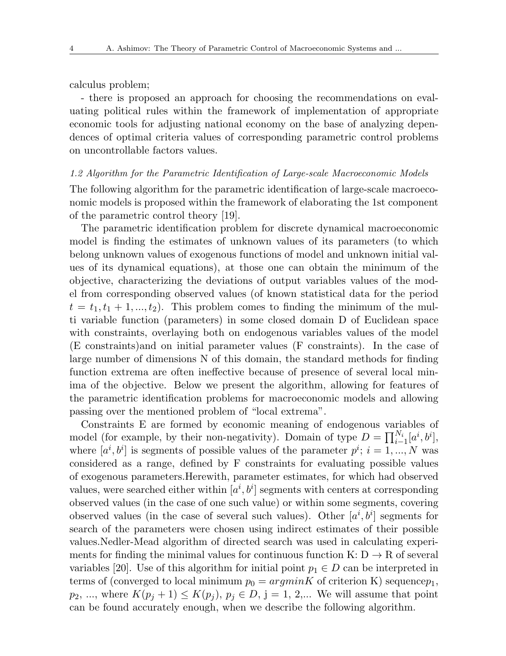calculus problem;

- there is proposed an approach for choosing the recommendations on evaluating political rules within the framework of implementation of appropriate economic tools for adjusting national economy on the base of analyzing dependences of optimal criteria values of corresponding parametric control problems on uncontrollable factors values.

## *1.2 Algorithm for the Parametric Identification of Large-scale Macroeconomic Models*

The following algorithm for the parametric identification of large-scale macroeconomic models is proposed within the framework of elaborating the 1st component of the parametric control theory [19].

The parametric identification problem for discrete dynamical macroeconomic model is finding the estimates of unknown values of its parameters (to which belong unknown values of exogenous functions of model and unknown initial values of its dynamical equations), at those one can obtain the minimum of the objective, characterizing the deviations of output variables values of the model from corresponding observed values (of known statistical data for the period  $t = t_1, t_1 + 1, \ldots, t_2$ . This problem comes to finding the minimum of the multi variable function (parameters) in some closed domain D of Euclidean space with constraints, overlaying both on endogenous variables values of the model (E constraints)and on initial parameter values (F constraints). In the case of large number of dimensions N of this domain, the standard methods for finding function extrema are often ineffective because of presence of several local minima of the objective. Below we present the algorithm, allowing for features of the parametric identification problems for macroeconomic models and allowing passing over the mentioned problem of "local extrema".

Constraints E are formed by economic meaning of endogenous variables of model (for example, by their non-negativity). Domain of type  $D = \prod_{i=1}^{N_i} [a^i, b^i]$ , where  $[a^i, b^i]$  is segments of possible values of the parameter  $p^i$ ;  $i = 1, ..., N$  was considered as a range, defined by F constraints for evaluating possible values of exogenous parameters.Herewith, parameter estimates, for which had observed values, were searched either within  $[a^i, b^i]$  segments with centers at corresponding observed values (in the case of one such value) or within some segments, covering observed values (in the case of several such values). Other  $[a^i, b^i]$  segments for search of the parameters were chosen using indirect estimates of their possible values.Nedler-Mead algorithm of directed search was used in calculating experiments for finding the minimal values for continuous function  $K: D \to R$  of several variables [20]. Use of this algorithm for initial point  $p_1 \in D$  can be interpreted in terms of (converged to local minimum  $p_0 = argmin K$  of criterion K) sequence  $p_1$ ,  $p_2, ...,$  where  $K(p_i + 1) \leq K(p_i), p_i \in D, j = 1, 2,...$  We will assume that point can be found accurately enough, when we describe the following algorithm.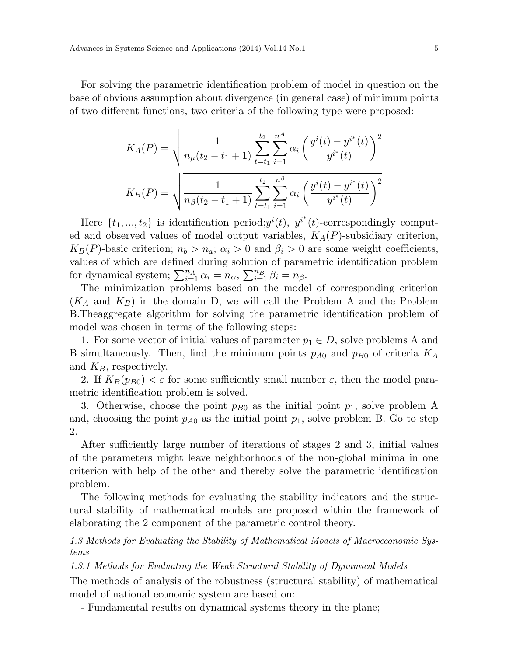For solving the parametric identification problem of model in question on the base of obvious assumption about divergence (in general case) of minimum points of two different functions, two criteria of the following type were proposed:

$$
K_A(P) = \sqrt{\frac{1}{n_{\mu}(t_2 - t_1 + 1)} \sum_{t=t_1}^{t_2} \sum_{i=1}^{n^A} \alpha_i \left(\frac{y^i(t) - y^{i^*}(t)}{y^{i^*}(t)}\right)^2}
$$

$$
K_B(P) = \sqrt{\frac{1}{n_{\beta}(t_2 - t_1 + 1)} \sum_{t=t_1}^{t_2} \sum_{i=1}^{n^{\beta}} \alpha_i \left(\frac{y^i(t) - y^{i^*}(t)}{y^{i^*}(t)}\right)^2}
$$

Here  $\{t_1, ..., t_2\}$  is identification period;  $y^i(t)$ ,  $y^{i^*}(t)$ -correspondingly computed and observed values of model output variables, *KA*(*P*)-subsidiary criterion,  $K_B(P)$ -basic criterion;  $n_b > n_a$ ;  $\alpha_i > 0$  and  $\beta_i > 0$  are some weight coefficients, values of which are defined during solution of parametric identification problem for dynamical system;  $\sum_{i=1}^{n_A} \alpha_i = n_\alpha$ ,  $\sum_{i=1}^{n_B} \beta_i = n_\beta$ .

The minimization problems based on the model of corresponding criterion  $(K_A \text{ and } K_B)$  in the domain D, we will call the Problem A and the Problem B.Theaggregate algorithm for solving the parametric identification problem of model was chosen in terms of the following steps:

1. For some vector of initial values of parameter  $p_1 \in D$ , solve problems A and B simultaneously. Then, find the minimum points *pA*<sup>0</sup> and *pB*<sup>0</sup> of criteria *K<sup>A</sup>* and *KB*, respectively.

2. If  $K_B(p_{B0}) < \varepsilon$  for some sufficiently small number  $\varepsilon$ , then the model parametric identification problem is solved.

3. Otherwise, choose the point  $p_{B0}$  as the initial point  $p_1$ , solve problem A and, choosing the point  $p_{A0}$  as the initial point  $p_1$ , solve problem B. Go to step 2.

After sufficiently large number of iterations of stages 2 and 3, initial values of the parameters might leave neighborhoods of the non-global minima in one criterion with help of the other and thereby solve the parametric identification problem.

The following methods for evaluating the stability indicators and the structural stability of mathematical models are proposed within the framework of elaborating the 2 component of the parametric control theory.

*1.3 Methods for Evaluating the Stability of Mathematical Models of Macroeconomic Systems*

*1.3.1 Methods for Evaluating the Weak Structural Stability of Dynamical Models*

The methods of analysis of the robustness (structural stability) of mathematical model of national economic system are based on:

- Fundamental results on dynamical systems theory in the plane;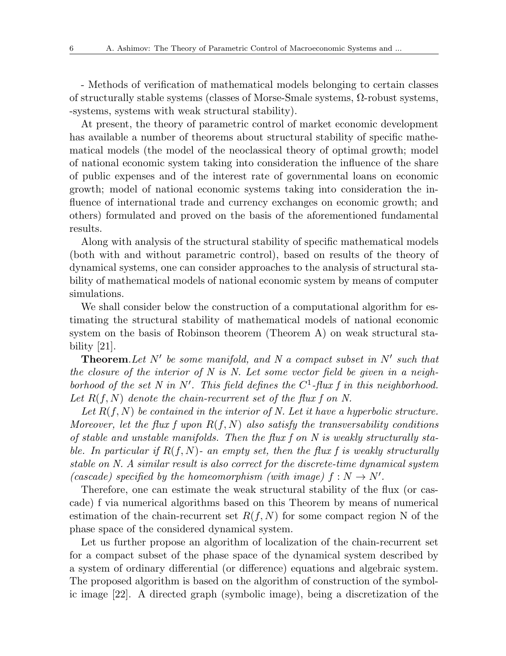- Methods of verification of mathematical models belonging to certain classes of structurally stable systems (classes of Morse-Smale systems, Ω-robust systems, -systems, systems with weak structural stability).

At present, the theory of parametric control of market economic development has available a number of theorems about structural stability of specific mathematical models (the model of the neoclassical theory of optimal growth; model of national economic system taking into consideration the influence of the share of public expenses and of the interest rate of governmental loans on economic growth; model of national economic systems taking into consideration the influence of international trade and currency exchanges on economic growth; and others) formulated and proved on the basis of the aforementioned fundamental results.

Along with analysis of the structural stability of specific mathematical models (both with and without parametric control), based on results of the theory of dynamical systems, one can consider approaches to the analysis of structural stability of mathematical models of national economic system by means of computer simulations.

We shall consider below the construction of a computational algorithm for estimating the structural stability of mathematical models of national economic system on the basis of Robinson theorem (Theorem A) on weak structural stability [21].

**Theorem**.*Let N′ be some manifold, and N a compact subset in N′ such that the closure of the interior of N is N. Let some vector field be given in a neighborhood of the set N in N′ . This field defines the C* 1 *-flux f in this neighborhood. Let R*(*f, N*) *denote the chain-recurrent set of the flux f on N.*

*Let R*(*f, N*) *be contained in the interior of N. Let it have a hyperbolic structure. Moreover, let the flux f upon R*(*f, N*) *also satisfy the transversability conditions of stable and unstable manifolds. Then the flux f on N is weakly structurally stable. In particular if R*(*f, N*)*- an empty set, then the flux f is weakly structurally stable on N. A similar result is also correct for the discrete-time dynamical system (cascade)* specified by the homeomorphism (with image)  $f : N \to N'$ .

Therefore, one can estimate the weak structural stability of the flux (or cascade) f via numerical algorithms based on this Theorem by means of numerical estimation of the chain-recurrent set  $R(f, N)$  for some compact region N of the phase space of the considered dynamical system.

Let us further propose an algorithm of localization of the chain-recurrent set for a compact subset of the phase space of the dynamical system described by a system of ordinary differential (or difference) equations and algebraic system. The proposed algorithm is based on the algorithm of construction of the symbolic image [22]. A directed graph (symbolic image), being a discretization of the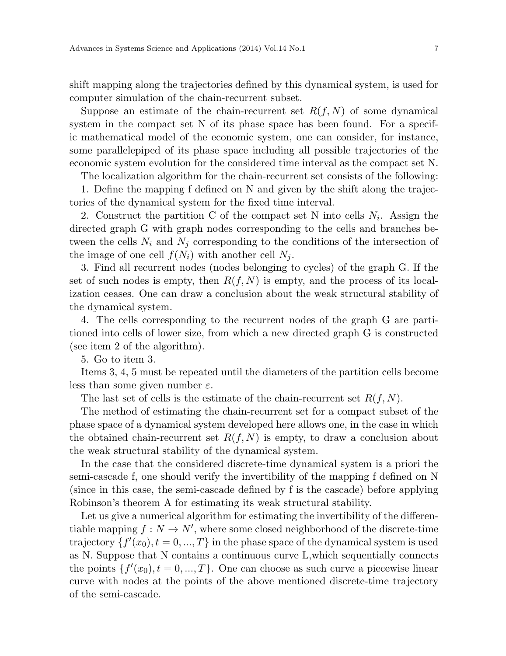shift mapping along the trajectories defined by this dynamical system, is used for computer simulation of the chain-recurrent subset.

Suppose an estimate of the chain-recurrent set  $R(f, N)$  of some dynamical system in the compact set N of its phase space has been found. For a specific mathematical model of the economic system, one can consider, for instance, some parallelepiped of its phase space including all possible trajectories of the economic system evolution for the considered time interval as the compact set N.

The localization algorithm for the chain-recurrent set consists of the following:

1. Define the mapping f defined on N and given by the shift along the trajectories of the dynamical system for the fixed time interval.

2. Construct the partition C of the compact set N into cells  $N_i$ . Assign the directed graph G with graph nodes corresponding to the cells and branches between the cells  $N_i$  and  $N_j$  corresponding to the conditions of the intersection of the image of one cell  $f(N_i)$  with another cell  $N_j$ .

3. Find all recurrent nodes (nodes belonging to cycles) of the graph G. If the set of such nodes is empty, then  $R(f, N)$  is empty, and the process of its localization ceases. One can draw a conclusion about the weak structural stability of the dynamical system.

4. The cells corresponding to the recurrent nodes of the graph G are partitioned into cells of lower size, from which a new directed graph G is constructed (see item 2 of the algorithm).

5. Go to item 3.

Items 3, 4, 5 must be repeated until the diameters of the partition cells become less than some given number *ε*.

The last set of cells is the estimate of the chain-recurrent set *R*(*f, N*).

The method of estimating the chain-recurrent set for a compact subset of the phase space of a dynamical system developed here allows one, in the case in which the obtained chain-recurrent set  $R(f, N)$  is empty, to draw a conclusion about the weak structural stability of the dynamical system.

In the case that the considered discrete-time dynamical system is a priori the semi-cascade f, one should verify the invertibility of the mapping f defined on N (since in this case, the semi-cascade defined by f is the cascade) before applying Robinson's theorem A for estimating its weak structural stability.

Let us give a numerical algorithm for estimating the invertibility of the differentiable mapping  $f: N \to N'$ , where some closed neighborhood of the discrete-time trajectory  $\{f'(x_0), t = 0, ..., T\}$  in the phase space of the dynamical system is used as N. Suppose that N contains a continuous curve L,which sequentially connects the points  $\{f'(x_0), t = 0, ..., T\}$ . One can choose as such curve a piecewise linear curve with nodes at the points of the above mentioned discrete-time trajectory of the semi-cascade.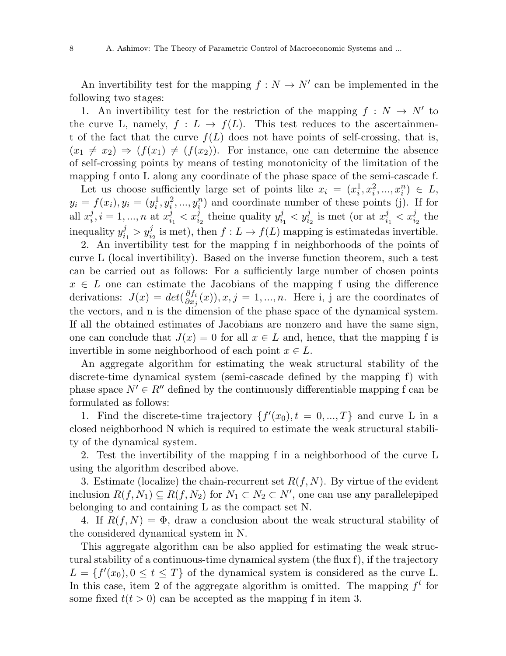An invertibility test for the mapping  $f: N \to N'$  can be implemented in the following two stages:

1. An invertibility test for the restriction of the mapping  $f : N \to N'$  to the curve L, namely,  $f: L \to f(L)$ . This test reduces to the ascertainment of the fact that the curve  $f(L)$  does not have points of self-crossing, that is,  $(x_1 \neq x_2) \Rightarrow (f(x_1) \neq (f(x_2))$ . For instance, one can determine the absence of self-crossing points by means of testing monotonicity of the limitation of the mapping f onto L along any coordinate of the phase space of the semi-cascade f.

Let us choose sufficiently large set of points like  $x_i = (x_i^1, x_i^2, ..., x_i^n) \in L$ ,  $y_i = f(x_i), y_i = (y_i^1, y_i^2, ..., y_i^n)$  and coordinate number of these points (j). If for all  $x_i^j$  $i, i = 1, ..., n$  at  $x_i^j$  $\frac{d}{dt}$ <sub>i</sub><sub>2</sub> theine quality  $y_i^j$  $y_{i_1}^j < y_{i_2}^j$  is met (or at  $x_i^j$  $\frac{j}{i_1} < x_{i_2}^j$  the inequality *y j*  $y_{i_1}^j > y_{i_2}^j$  is met), then  $f: L \to f(L)$  mapping is estimatedas invertible.

2. An invertibility test for the mapping f in neighborhoods of the points of curve L (local invertibility). Based on the inverse function theorem, such a test can be carried out as follows: For a sufficiently large number of chosen points  $x \in L$  one can estimate the Jacobians of the mapping f using the difference derivations:  $J(x) = det(\frac{\partial f_i}{\partial x_i})$  $\frac{\partial f_i}{\partial x_j}(x)$ , *x*, *j* = 1, ..., *n*. Here i, j are the coordinates of the vectors, and n is the dimension of the phase space of the dynamical system. If all the obtained estimates of Jacobians are nonzero and have the same sign, one can conclude that  $J(x) = 0$  for all  $x \in L$  and, hence, that the mapping f is invertible in some neighborhood of each point  $x \in L$ .

An aggregate algorithm for estimating the weak structural stability of the discrete-time dynamical system (semi-cascade defined by the mapping f) with phase space  $N' \in R''$  defined by the continuously differentiable mapping f can be formulated as follows:

1. Find the discrete-time trajectory  $\{f'(x_0), t = 0, ..., T\}$  and curve L in a closed neighborhood N which is required to estimate the weak structural stability of the dynamical system.

2. Test the invertibility of the mapping f in a neighborhood of the curve L using the algorithm described above.

3. Estimate (localize) the chain-recurrent set *R*(*f, N*). By virtue of the evident inclusion *R*(*f, N*1) *⊆ R*(*f, N*2) for *N*<sup>1</sup> *⊂ N*<sup>2</sup> *⊂ N′* , one can use any parallelepiped belonging to and containing L as the compact set N.

4. If  $R(f, N) = \Phi$ , draw a conclusion about the weak structural stability of the considered dynamical system in N.

This aggregate algorithm can be also applied for estimating the weak structural stability of a continuous-time dynamical system (the flux f), if the trajectory  $L = \{f'(x_0), 0 \le t \le T\}$  of the dynamical system is considered as the curve L. In this case, item 2 of the aggregate algorithm is omitted. The mapping  $f<sup>t</sup>$  for some fixed  $t(t > 0)$  can be accepted as the mapping f in item 3.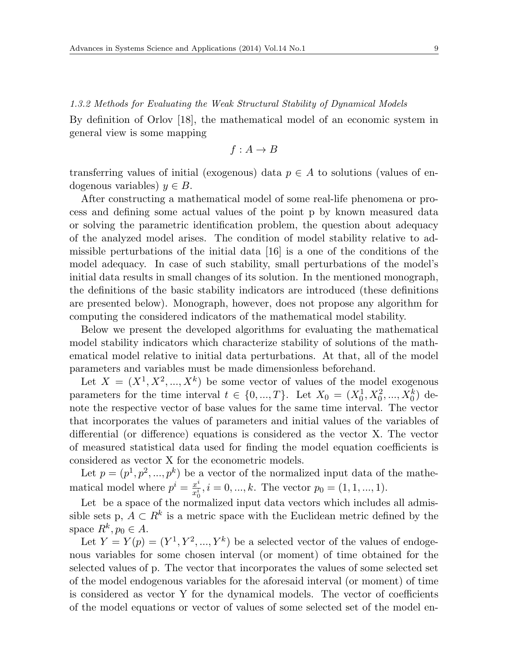*1.3.2 Methods for Evaluating the Weak Structural Stability of Dynamical Models* By definition of Orlov [18], the mathematical model of an economic system in general view is some mapping

$$
f: A \to B
$$

transferring values of initial (exogenous) data  $p \in A$  to solutions (values of endogenous variables)  $y \in B$ .

After constructing a mathematical model of some real-life phenomena or process and defining some actual values of the point p by known measured data or solving the parametric identification problem, the question about adequacy of the analyzed model arises. The condition of model stability relative to admissible perturbations of the initial data [16] is a one of the conditions of the model adequacy. In case of such stability, small perturbations of the model's initial data results in small changes of its solution. In the mentioned monograph, the definitions of the basic stability indicators are introduced (these definitions are presented below). Monograph, however, does not propose any algorithm for computing the considered indicators of the mathematical model stability.

Below we present the developed algorithms for evaluating the mathematical model stability indicators which characterize stability of solutions of the mathematical model relative to initial data perturbations. At that, all of the model parameters and variables must be made dimensionless beforehand.

Let  $X = (X^1, X^2, ..., X^k)$  be some vector of values of the model exogenous parameters for the time interval  $t \in \{0, ..., T\}$ . Let  $X_0 = (X_0^1, X_0^2, ..., X_0^k)$  denote the respective vector of base values for the same time interval. The vector that incorporates the values of parameters and initial values of the variables of differential (or difference) equations is considered as the vector X. The vector of measured statistical data used for finding the model equation coefficients is considered as vector X for the econometric models.

Let  $p = (p^1, p^2, ..., p^k)$  be a vector of the normalized input data of the mathematical model where  $p^i = \frac{x^i}{x^i}$  $\frac{x^i}{x_0^i}, i = 0, ..., k$ . The vector  $p_0 = (1, 1, ..., 1)$ .

Let be a space of the normalized input data vectors which includes all admissible sets p,  $A \subset \mathbb{R}^k$  is a metric space with the Euclidean metric defined by the space  $R^k, p_0 \in A$ .

Let  $Y = Y(p) = (Y^1, Y^2, ..., Y^k)$  be a selected vector of the values of endogenous variables for some chosen interval (or moment) of time obtained for the selected values of p. The vector that incorporates the values of some selected set of the model endogenous variables for the aforesaid interval (or moment) of time is considered as vector Y for the dynamical models. The vector of coefficients of the model equations or vector of values of some selected set of the model en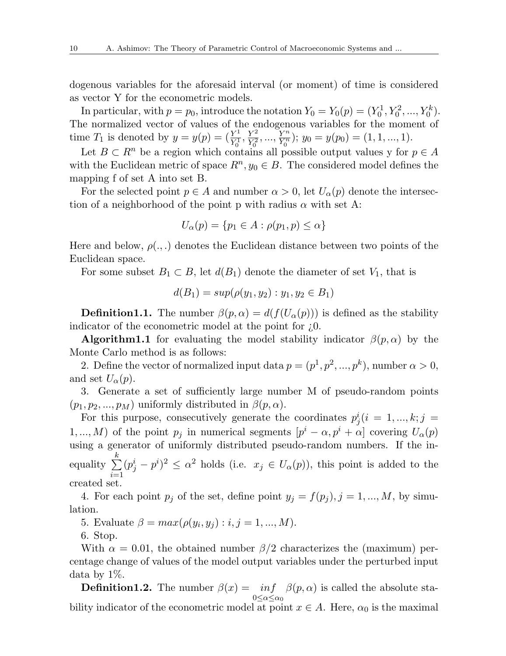dogenous variables for the aforesaid interval (or moment) of time is considered as vector Y for the econometric models.

In particular, with  $p = p_0$ , introduce the notation  $Y_0 = Y_0(p) = (Y_0^1, Y_0^2, ..., Y_0^k)$ . The normalized vector of values of the endogenous variables for the moment of time  $T_1$  is denoted by  $y = y(p) = (\frac{Y^1}{Y^1})$  $\frac{Y^1}{Y_0^1}, \frac{Y^2}{Y_0^2}$  $\frac{Y^2}{Y_0^2}, \dots, \frac{Y^n}{Y_0^n}$  $\frac{Y^n}{Y_0^n}$ ;  $y_0 = y(p_0) = (1, 1, ..., 1).$ 

Let  $B \subset R^n$  be a region which contains all possible output values y for  $p \in A$ with the Euclidean metric of space  $R^n, y_0 \in B$ . The considered model defines the mapping f of set A into set B.

For the selected point  $p \in A$  and number  $\alpha > 0$ , let  $U_{\alpha}(p)$  denote the intersection of a neighborhood of the point p with radius *α* with set A:

$$
U_{\alpha}(p) = \{p_1 \in A : \rho(p_1, p) \le \alpha\}
$$

Here and below,  $\rho(.,.)$  denotes the Euclidean distance between two points of the Euclidean space.

For some subset  $B_1 \subset B$ , let  $d(B_1)$  denote the diameter of set  $V_1$ , that is

$$
d(B_1) = \sup(\rho(y_1, y_2) : y_1, y_2 \in B_1)
$$

**Definition1.1.** The number  $\beta(p,\alpha) = d(f(U_\alpha(p)))$  is defined as the stability indicator of the econometric model at the point for ¿0.

**Algorithm1.1** for evaluating the model stability indicator  $\beta(p,\alpha)$  by the Monte Carlo method is as follows:

2. Define the vector of normalized input data  $p = (p^1, p^2, ..., p^k)$ , number  $\alpha > 0$ , and set  $U_{\alpha}(p)$ .

3. Generate a set of sufficiently large number M of pseudo-random points  $(p_1, p_2, \ldots, p_M)$  uniformly distributed in  $\beta(p, \alpha)$ .

For this purpose, consecutively generate the coordinates  $p_j^i(i = 1, ..., k; j =$ 1, ..., *M*) of the point  $p_j$  in numerical segments  $[p^i - \alpha, p^i + \alpha]$  covering  $U_\alpha(p)$ using a generator of uniformly distributed pseudo-random numbers. If the inequality ∑ *k i*=1  $(p_j^i - p^i)^2 \leq \alpha^2$  holds (i.e.  $x_j \in U_\alpha(p)$ ), this point is added to the created set.

4. For each point  $p_j$  of the set, define point  $y_j = f(p_j)$ ,  $j = 1, ..., M$ , by simulation.

5. Evaluate  $\beta = max(\rho(y_i, y_j) : i, j = 1, ..., M)$ .

6. Stop.

With  $\alpha = 0.01$ , the obtained number  $\beta/2$  characterizes the (maximum) percentage change of values of the model output variables under the perturbed input data by 1%.

**Definition1.2.** The number  $\beta(x) = inf$ 0*≤α≤α*<sup>0</sup>  $\beta(p,\alpha)$  is called the absolute stability indicator of the econometric model at point  $x \in A$ . Here,  $\alpha_0$  is the maximal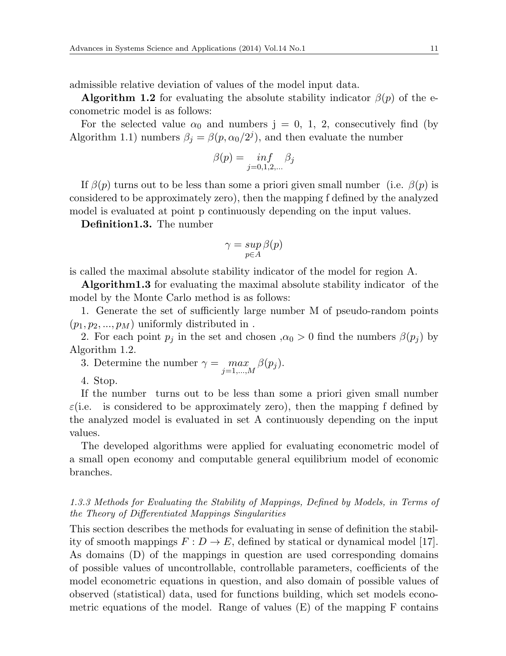admissible relative deviation of values of the model input data.

**Algorithm 1.2** for evaluating the absolute stability indicator  $\beta(p)$  of the econometric model is as follows:

For the selected value  $\alpha_0$  and numbers  $j = 0, 1, 2$ , consecutively find (by Algorithm 1.1) numbers  $\beta_j = \beta(p, \alpha_0/2^j)$ , and then evaluate the number

$$
\beta(p) = \inf_{j=0,1,2,\dots} \beta_j
$$

If  $\beta(p)$  turns out to be less than some a priori given small number (i.e.  $\beta(p)$  is considered to be approximately zero), then the mapping f defined by the analyzed model is evaluated at point p continuously depending on the input values.

**Definition1.3.** The number

$$
\gamma=\sup_{p\in A}\beta(p)
$$

is called the maximal absolute stability indicator of the model for region A.

**Algorithm1.3** for evaluating the maximal absolute stability indicator of the model by the Monte Carlo method is as follows:

1. Generate the set of sufficiently large number M of pseudo-random points  $(p_1, p_2, ..., p_M)$  uniformly distributed in.

2. For each point  $p_j$  in the set and chosen  $, \alpha_0 > 0$  find the numbers  $\beta(p_j)$  by Algorithm 1.2.

3. Determine the number  $\gamma = \max_{j=1,\dots,M} \beta(p_j)$ .

4. Stop.

If the number turns out to be less than some a priori given small number *ε*(i.e. is considered to be approximately zero), then the mapping f defined by the analyzed model is evaluated in set A continuously depending on the input values.

The developed algorithms were applied for evaluating econometric model of a small open economy and computable general equilibrium model of economic branches.

# *1.3.3 Methods for Evaluating the Stability of Mappings, Defined by Models, in Terms of the Theory of Differentiated Mappings Singularities*

This section describes the methods for evaluating in sense of definition the stability of smooth mappings  $F: D \to E$ , defined by statical or dynamical model [17]. As domains (D) of the mappings in question are used corresponding domains of possible values of uncontrollable, controllable parameters, coefficients of the model econometric equations in question, and also domain of possible values of observed (statistical) data, used for functions building, which set models econometric equations of the model. Range of values (E) of the mapping F contains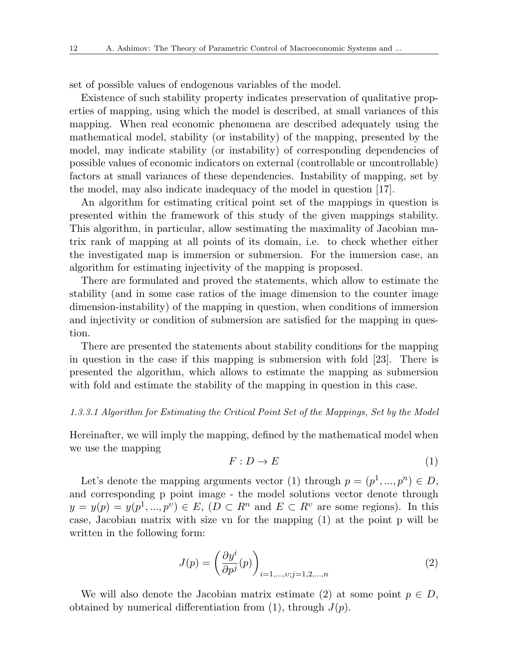set of possible values of endogenous variables of the model.

Existence of such stability property indicates preservation of qualitative properties of mapping, using which the model is described, at small variances of this mapping. When real economic phenomena are described adequately using the mathematical model, stability (or instability) of the mapping, presented by the model, may indicate stability (or instability) of corresponding dependencies of possible values of economic indicators on external (controllable or uncontrollable) factors at small variances of these dependencies. Instability of mapping, set by the model, may also indicate inadequacy of the model in question [17].

An algorithm for estimating critical point set of the mappings in question is presented within the framework of this study of the given mappings stability. This algorithm, in particular, allow sestimating the maximality of Jacobian matrix rank of mapping at all points of its domain, i.e. to check whether either the investigated map is immersion or submersion. For the immersion case, an algorithm for estimating injectivity of the mapping is proposed.

There are formulated and proved the statements, which allow to estimate the stability (and in some case ratios of the image dimension to the counter image dimension-instability) of the mapping in question, when conditions of immersion and injectivity or condition of submersion are satisfied for the mapping in question.

There are presented the statements about stability conditions for the mapping in question in the case if this mapping is submersion with fold [23]. There is presented the algorithm, which allows to estimate the mapping as submersion with fold and estimate the stability of the mapping in question in this case.

#### *1.3.3.1 Algorithm for Estimating the Critical Point Set of the Mappings, Set by the Model*

Hereinafter, we will imply the mapping, defined by the mathematical model when we use the mapping

$$
F: D \to E \tag{1}
$$

Let's denote the mapping arguments vector (1) through  $p = (p^1, ..., p^n) \in D$ , and corresponding p point image - the model solutions vector denote through  $y = y(p) = y(p^1, ..., p^v) \in E$ ,  $(D \subset R^n \text{ and } E \subset R^v \text{ are some regions}).$  In this case, Jacobian matrix with size vn for the mapping (1) at the point p will be written in the following form:

$$
J(p) = \left(\frac{\partial y^i}{\partial p^j}(p)\right)_{i=1,\dots,v;j=1,2,\dots,n} \tag{2}
$$

We will also denote the Jacobian matrix estimate (2) at some point  $p \in D$ , obtained by numerical differentiation from  $(1)$ , through  $J(p)$ .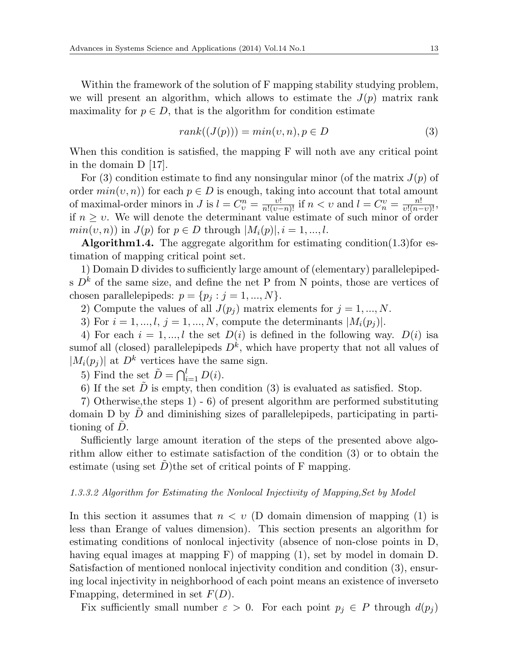Within the framework of the solution of F mapping stability studying problem, we will present an algorithm, which allows to estimate the  $J(p)$  matrix rank maximality for  $p \in D$ , that is the algorithm for condition estimate

$$
rank((J(p))) = min(v, n), p \in D \tag{3}
$$

When this condition is satisfied, the mapping F will noth ave any critical point in the domain D [17].

For (3) condition estimate to find any nonsingular minor (of the matrix  $J(p)$  of order  $min(v, n)$  for each  $p \in D$  is enough, taking into account that total amount of maximal-order minors in J is  $l = C_v^n = \frac{v!}{n!(v-n)!}$  if  $n < v$  and  $l = C_v^v = \frac{n!}{v!(n-v)!}$ , if  $n \geq v$ . We will denote the determinant value estimate of such minor of order  $min(v, n)$  in  $J(p)$  for  $p \in D$  through  $|M_i(p)|$ ,  $i = 1, ..., l$ .

**Algorithm1.4.** The aggregate algorithm for estimating condition $(1.3)$  for estimation of mapping critical point set.

1) Domain D divides to sufficiently large amount of (elementary) parallelepipeds  $D^k$  of the same size, and define the net P from N points, those are vertices of chosen parallelepipeds:  $p = \{p_j : j = 1, ..., N\}$ .

2) Compute the values of all  $J(p_i)$  matrix elements for  $j = 1, ..., N$ .

3) For  $i = 1, ..., l$ ,  $j = 1, ..., N$ , compute the determinants  $|M_i(p_i)|$ .

4) For each  $i = 1, \ldots, l$  the set  $D(i)$  is defined in the following way.  $D(i)$  isa sumof all (closed) parallelepipeds  $D^k$ , which have property that not all values of  $|M_i(p_i)|$  at  $D^k$  vertices have the same sign.

5) Find the set  $\tilde{D} = \bigcap_{i=1}^{l} D(i)$ .

6) If the set  $\tilde{D}$  is empty, then condition (3) is evaluated as satisfied. Stop.

7) Otherwise,the steps 1) - 6) of present algorithm are performed substituting domain D by  $\ddot{D}$  and diminishing sizes of parallelepipeds, participating in partitioning of  $\ddot{D}$ .

Sufficiently large amount iteration of the steps of the presented above algorithm allow either to estimate satisfaction of the condition (3) or to obtain the estimate (using set  $D$ )the set of critical points of F mapping.

#### *1.3.3.2 Algorithm for Estimating the Nonlocal Injectivity of Mapping,Set by Model*

In this section it assumes that *n < υ* (D domain dimension of mapping (1) is less than Erange of values dimension). This section presents an algorithm for estimating conditions of nonlocal injectivity (absence of non-close points in D, having equal images at mapping F) of mapping (1), set by model in domain D. Satisfaction of mentioned nonlocal injectivity condition and condition (3), ensuring local injectivity in neighborhood of each point means an existence of inverseto Fmapping, determined in set *F*(*D*).

Fix sufficiently small number  $\varepsilon > 0$ . For each point  $p_j \in P$  through  $d(p_j)$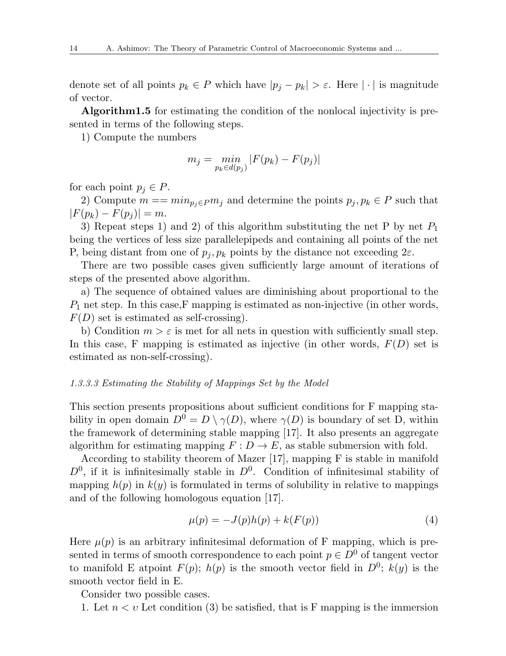denote set of all points  $p_k \in P$  which have  $|p_j - p_k| > \varepsilon$ . Here  $|\cdot|$  is magnitude of vector.

**Algorithm1.5** for estimating the condition of the nonlocal injectivity is presented in terms of the following steps.

1) Compute the numbers

$$
m_j = \min_{p_k \in d(p_j)} |F(p_k) - F(p_j)|
$$

for each point  $p_j \in P$ .

2) Compute  $m == min_{p_j \in P} m_j$  and determine the points  $p_j, p_k \in P$  such that  $|F(p_k) - F(p_j)| = m$ .

3) Repeat steps 1) and 2) of this algorithm substituting the net P by net  $P_1$ being the vertices of less size parallelepipeds and containing all points of the net P, being distant from one of  $p_j$ ,  $p_k$  points by the distance not exceeding  $2\varepsilon$ .

There are two possible cases given sufficiently large amount of iterations of steps of the presented above algorithm.

a) The sequence of obtained values are diminishing about proportional to the  $P_1$  net step. In this case, F mapping is estimated as non-injective (in other words,  $F(D)$  set is estimated as self-crossing).

b) Condition  $m > \varepsilon$  is met for all nets in question with sufficiently small step. In this case, F mapping is estimated as injective (in other words, *F*(*D*) set is estimated as non-self-crossing).

## *1.3.3.3 Estimating the Stability of Mappings Set by the Model*

This section presents propositions about sufficient conditions for F mapping stability in open domain  $D^0 = D \setminus \gamma(D)$ , where  $\gamma(D)$  is boundary of set D, within the framework of determining stable mapping [17]. It also presents an aggregate algorithm for estimating mapping  $F: D \to E$ , as stable submersion with fold.

According to stability theorem of Mazer [17], mapping F is stable in manifold  $D^0$ , if it is infinitesimally stable in  $D^0$ . Condition of infinitesimal stability of mapping  $h(p)$  in  $k(q)$  is formulated in terms of solubility in relative to mappings and of the following homologous equation [17].

$$
\mu(p) = -J(p)h(p) + k(F(p))\tag{4}
$$

Here  $\mu(p)$  is an arbitrary infinitesimal deformation of F mapping, which is presented in terms of smooth correspondence to each point  $p \in D^0$  of tangent vector to manifold E atpoint  $F(p)$ ;  $h(p)$  is the smooth vector field in  $D^0$ ;  $k(y)$  is the smooth vector field in E.

Consider two possible cases.

1. Let  $n < v$  Let condition (3) be satisfied, that is F mapping is the immersion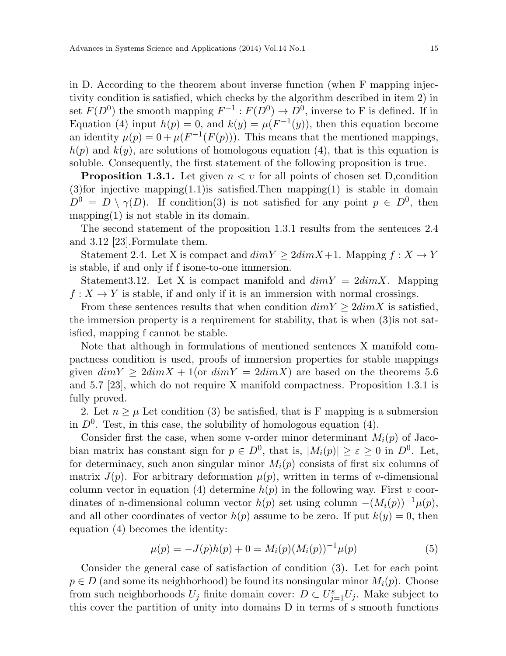in D. According to the theorem about inverse function (when F mapping injectivity condition is satisfied, which checks by the algorithm described in item 2) in set  $F(D^0)$  the smooth mapping  $F^{-1}: F(D^0) \to D^0$ , inverse to F is defined. If in Equation (4) input  $h(p) = 0$ , and  $k(y) = \mu(F^{-1}(y))$ , then this equation become an identity  $\mu(p) = 0 + \mu(F^{-1}(F(p)))$ . This means that the mentioned mappings,  $h(p)$  and  $k(q)$ , are solutions of homologous equation (4), that is this equation is soluble. Consequently, the first statement of the following proposition is true.

**Proposition 1.3.1.** Let given  $n < v$  for all points of chosen set D, condition  $(3)$ for injective mapping $(1.1)$ is satisfied.Then mapping $(1)$  is stable in domain  $D^0 = D \setminus \gamma(D)$ . If condition(3) is not satisfied for any point  $p \in D^0$ , then mapping $(1)$  is not stable in its domain.

The second statement of the proposition 1.3.1 results from the sentences 2.4 and 3.12 [23].Formulate them.

Statement 2.4. Let X is compact and  $dimY \geq 2dimX + 1$ . Mapping  $f : X \to Y$ is stable, if and only if f isone-to-one immersion.

Statement 3.12. Let X is compact manifold and  $dim Y = 2dim X$ . Mapping  $f: X \to Y$  is stable, if and only if it is an immersion with normal crossings.

From these sentences results that when condition  $dimY \geq 2dimX$  is satisfied, the immersion property is a requirement for stability, that is when (3)is not satisfied, mapping f cannot be stable.

Note that although in formulations of mentioned sentences X manifold compactness condition is used, proofs of immersion properties for stable mappings given  $dimY \geq 2dimX + 1$  (or  $dimY = 2dimX$ ) are based on the theorems 5.6 and 5.7 [23], which do not require X manifold compactness. Proposition 1.3.1 is fully proved.

2. Let  $n \geq \mu$  Let condition (3) be satisfied, that is F mapping is a submersion in  $D^0$ . Test, in this case, the solubility of homologous equation  $(4)$ .

Consider first the case, when some v-order minor determinant  $M_i(p)$  of Jacobian matrix has constant sign for  $p \in D^0$ , that is,  $|M_i(p)| \geq \varepsilon \geq 0$  in  $D^0$ . Let, for determinacy, such anon singular minor  $M_i(p)$  consists of first six columns of matrix  $J(p)$ . For arbitrary deformation  $\mu(p)$ , written in terms of *v*-dimensional column vector in equation (4) determine  $h(p)$  in the following way. First *v* coordinates of n-dimensional column vector  $h(p)$  set using column  $-(M_i(p))^{-1}\mu(p)$ , and all other coordinates of vector  $h(p)$  assume to be zero. If put  $k(y) = 0$ , then equation (4) becomes the identity:

$$
\mu(p) = -J(p)h(p) + 0 = M_i(p)(M_i(p))^{-1}\mu(p) \tag{5}
$$

Consider the general case of satisfaction of condition (3). Let for each point  $p \in D$  (and some its neighborhood) be found its nonsingular minor  $M_i(p)$ . Choose from such neighborhoods  $U_j$  finite domain cover:  $D \subset U_{j=1}^s U_j$ . Make subject to this cover the partition of unity into domains D in terms of s smooth functions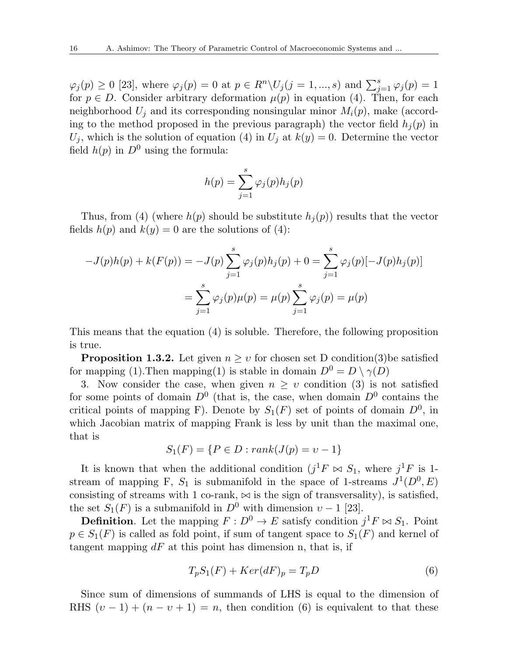$\varphi_j(p) \ge 0$  [23], where  $\varphi_j(p) = 0$  at  $p \in R^n \setminus U_j(j = 1, ..., s)$  and  $\sum_{j=1}^s \varphi_j(p) = 1$ for  $p \in D$ . Consider arbitrary deformation  $\mu(p)$  in equation (4). Then, for each neighborhood  $U_i$  and its corresponding nonsingular minor  $M_i(p)$ , make (according to the method proposed in the previous paragraph) the vector field  $h_j(p)$  in  $U_j$ , which is the solution of equation (4) in  $U_j$  at  $k(y) = 0$ . Determine the vector field  $h(p)$  in  $D^0$  using the formula:

$$
h(p) = \sum_{j=1}^{s} \varphi_j(p) h_j(p)
$$

Thus, from (4) (where  $h(p)$  should be substitute  $h_j(p)$ ) results that the vector fields  $h(p)$  and  $k(y) = 0$  are the solutions of (4):

$$
-J(p)h(p) + k(F(p)) = -J(p)\sum_{j=1}^{s} \varphi_j(p)h_j(p) + 0 = \sum_{j=1}^{s} \varphi_j(p)[-J(p)h_j(p)]
$$

$$
= \sum_{j=1}^{s} \varphi_j(p)\mu(p) = \mu(p)\sum_{j=1}^{s} \varphi_j(p) = \mu(p)
$$

This means that the equation (4) is soluble. Therefore, the following proposition is true.

**Proposition 1.3.2.** Let given  $n \geq v$  for chosen set D condition(3)be satisfied for mapping (1). Then mapping (1) is stable in domain  $D^0 = D \setminus \gamma(D)$ 

3. Now consider the case, when given  $n \geq v$  condition (3) is not satisfied for some points of domain  $D^0$  (that is, the case, when domain  $D^0$  contains the critical points of mapping F). Denote by  $S_1(F)$  set of points of domain  $D^0$ , in which Jacobian matrix of mapping Frank is less by unit than the maximal one, that is

$$
S_1(F) = \{ P \in D : rank(J(p) = v - 1) \}
$$

It is known that when the additional condition  $(j<sup>1</sup>F \bowtie S_1$ , where  $j<sup>1</sup>F$  is 1stream of mapping F,  $S_1$  is submanifold in the space of 1-streams  $J^1(D^0, E)$ consisting of streams with 1 co-rank,  $\bowtie$  is the sign of transversality), is satisfied, the set  $S_1(F)$  is a submanifold in  $D^0$  with dimension  $v-1$  [23].

**Definition**. Let the mapping  $F: D^0 \to E$  satisfy condition  $j^1 F \bowtie S_1$ . Point  $p \in S_1(F)$  is called as fold point, if sum of tangent space to  $S_1(F)$  and kernel of tangent mapping *dF* at this point has dimension n, that is, if

$$
T_p S_1(F) + Ker(dF)_p = T_p D \tag{6}
$$

Since sum of dimensions of summands of LHS is equal to the dimension of RHS  $(v-1) + (n-v+1) = n$ , then condition (6) is equivalent to that these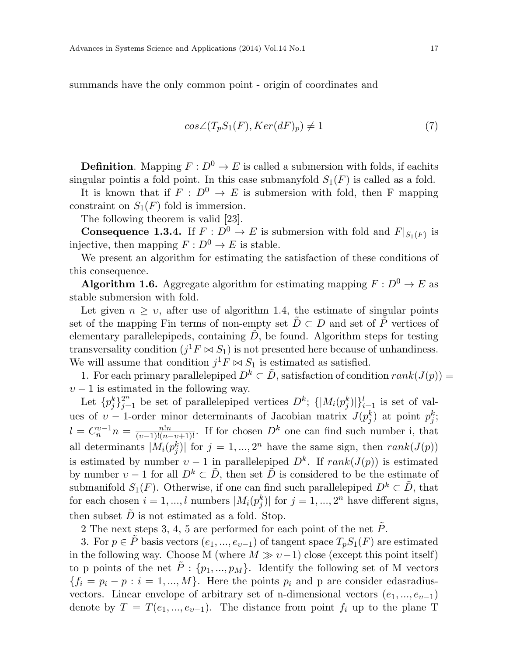summands have the only common point - origin of coordinates and

$$
cos\angle(T_pS_1(F), Ker(dF)_p) \neq 1
$$
\n<sup>(7)</sup>

**Definition**. Mapping  $F: D^0 \to E$  is called a submersion with folds, if eachits singular point is a fold point. In this case submanyfold  $S_1(F)$  is called as a fold.

It is known that if  $F : D^0 \to E$  is submersion with fold, then F mapping constraint on  $S_1(F)$  fold is immersion.

The following theorem is valid [23].

**Consequence 1.3.4.** If  $F: D^0 \to E$  is submersion with fold and  $F|_{S_1(F)}$  is injective, then mapping  $F: D^0 \to E$  is stable.

We present an algorithm for estimating the satisfaction of these conditions of this consequence.

**Algorithm 1.6.** Aggregate algorithm for estimating mapping  $F: D^0 \to E$  as stable submersion with fold.

Let given  $n \geq v$ , after use of algorithm 1.4, the estimate of singular points set of the mapping Fin terms of non-empty set  $\ddot{D} \subset D$  and set of  $\ddot{P}$  vertices of elementary parallelepipeds, containing  $\ddot{D}$ , be found. Algorithm steps for testing transversality condition  $(j<sup>1</sup>F \bowtie S<sub>1</sub>)$  is not presented here because of unhandiness. We will assume that condition  $j^1F \bowtie S_1$  is estimated as satisfied.

1. For each primary parallelepiped  $D^k \subset \tilde{D}$ , satisfaction of condition  $rank(J(p))$  =  $v - 1$  is estimated in the following way.

Let  ${p_j^k}_{j=1}^{2^n}$  be set of parallelepiped vertices  $D^k$ ;  ${ |M_i(p_j^k)|}_{i=1}^l$  is set of values of *v* − 1-order minor determinants of Jacobian matrix  $J(p_j^k)$  at point  $p_j^k$ ;  $l = C_n^{\nu-1} n = \frac{n!n}{(\nu-1)!(n-\nu+1)!}$ . If for chosen  $D^k$  one can find such number i, that all determinants  $|M_i(p_j^k)|$  for  $j = 1, ..., 2^n$  have the same sign, then  $rank(J(p))$ is estimated by number  $v-1$  in parallelepiped  $D^k$ . If  $rank(J(p))$  is estimated by number  $v-1$  for all  $D^k \subset \tilde{D}$ , then set  $\tilde{D}$  is considered to be the estimate of submanifold  $S_1(F)$ . Otherwise, if one can find such parallelepiped  $D^k \subset \tilde{D}$ , that for each chosen  $i = 1, ..., l$  numbers  $|M_i(p_j^k)|$  for  $j = 1, ..., 2^n$  have different signs, then subset  $\ddot{D}$  is not estimated as a fold. Stop.

2 The next steps 3, 4, 5 are performed for each point of the net  $\tilde{P}$ .

3. For  $p \in \tilde{P}$  basis vectors  $(e_1, ..., e_{v-1})$  of tangent space  $T_pS_1(F)$  are estimated in the following way. Choose M (where  $M \gg v-1$ ) close (except this point itself) to p points of the net  $\tilde{P}$  :  $\{p_1, ..., p_M\}$ . Identify the following set of M vectors  ${f_i = p_i - p : i = 1, ..., M}$ . Here the points  $p_i$  and p are consider edasradiusvectors. Linear envelope of arbitrary set of n-dimensional vectors  $(e_1, ..., e_{v-1})$ denote by  $T = T(e_1, ..., e_{\nu-1})$ . The distance from point  $f_i$  up to the plane T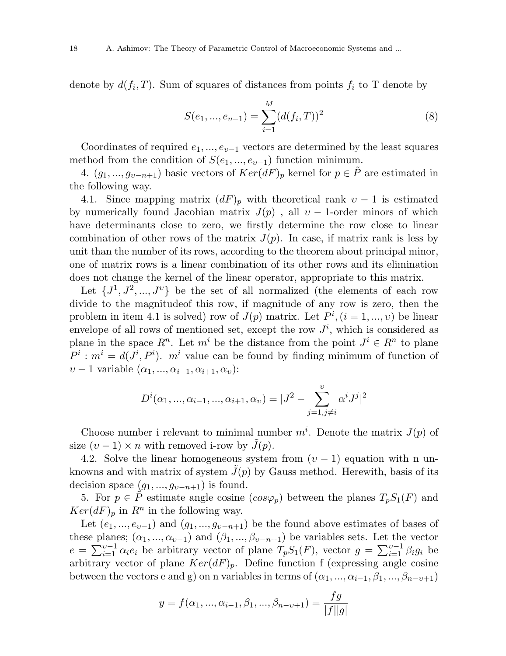denote by  $d(f_i, T)$ . Sum of squares of distances from points  $f_i$  to T denote by

$$
S(e_1, ..., e_{v-1}) = \sum_{i=1}^{M} (d(f_i, T))^2
$$
\n(8)

Coordinates of required *e*1*, ..., eυ−*<sup>1</sup> vectors are determined by the least squares method from the condition of  $S(e_1, ..., e_{\nu-1})$  function minimum.

4.  $(g_1, ..., g_{v-n+1})$  basic vectors of  $Ker(dF)_p$  kernel for  $p \in \tilde{P}$  are estimated in the following way.

4.1. Since mapping matrix  $(dF)_p$  with theoretical rank  $v-1$  is estimated by numerically found Jacobian matrix  $J(p)$ , all  $v - 1$ -order minors of which have determinants close to zero, we firstly determine the row close to linear combination of other rows of the matrix  $J(p)$ . In case, if matrix rank is less by unit than the number of its rows, according to the theorem about principal minor, one of matrix rows is a linear combination of its other rows and its elimination does not change the kernel of the linear operator, appropriate to this matrix.

Let  $\{J^1, J^2, ..., J^{\nu}\}\$  be the set of all normalized (the elements of each row divide to the magnitudeof this row, if magnitude of any row is zero, then the problem in item 4.1 is solved) row of  $J(p)$  matrix. Let  $P^i$ ,  $(i = 1, ..., v)$  be linear envelope of all rows of mentioned set, except the row  $J^i$ , which is considered as plane in the space  $R^n$ . Let  $m^i$  be the distance from the point  $J^i \in R^n$  to plane  $P^i$ :  $m^i = d(J^i, P^i)$ .  $m^i$  value can be found by finding minimum of function of  $v - 1$  variable  $(\alpha_1, ..., \alpha_{i-1}, \alpha_{i+1}, \alpha_v)$ :

$$
D^{i}(\alpha_1, ..., \alpha_{i-1}, ..., \alpha_{i+1}, \alpha_v) = |J^2 - \sum_{j=1, j \neq i}^{v} \alpha^i J^j|^2
$$

Choose number i relevant to minimal number  $m^i$ . Denote the matrix  $J(p)$  of size  $(v-1) \times n$  with removed i-row by  $\tilde{J}(p)$ .

4.2. Solve the linear homogeneous system from  $(v-1)$  equation with n unknowns and with matrix of system  $\tilde{J}(p)$  by Gauss method. Herewith, basis of its decision space  $(g_1, ..., g_{v-n+1})$  is found.

5. For  $p \in \tilde{P}$  estimate angle cosine  $(cos \varphi_p)$  between the planes  $T_pS_1(F)$  and  $Ker(dF)_p$  in  $R^n$  in the following way.

Let  $(e_1, ..., e_{v-1})$  and  $(g_1, ..., g_{v-n+1})$  be the found above estimates of bases of these planes;  $(\alpha_1, ..., \alpha_{v-1})$  and  $(\beta_1, ..., \beta_{v-n+1})$  be variables sets. Let the vector  $e = \sum_{i=1}^{v-1} \alpha_i e_i$  be arbitrary vector of plane  $T_p S_1(F)$ , vector  $g = \sum_{i=1}^{v-1} \beta_i g_i$  be arbitrary vector of plane  $Ker(dF)$ <sub>p</sub>. Define function f (expressing angle cosine between the vectors e and g) on n variables in terms of  $(\alpha_1, ..., \alpha_{i-1}, \beta_1, ..., \beta_{n-v+1})$ 

$$
y = f(\alpha_1, ..., \alpha_{i-1}, \beta_1, ..., \beta_{n-v+1}) = \frac{fg}{|f||g|}
$$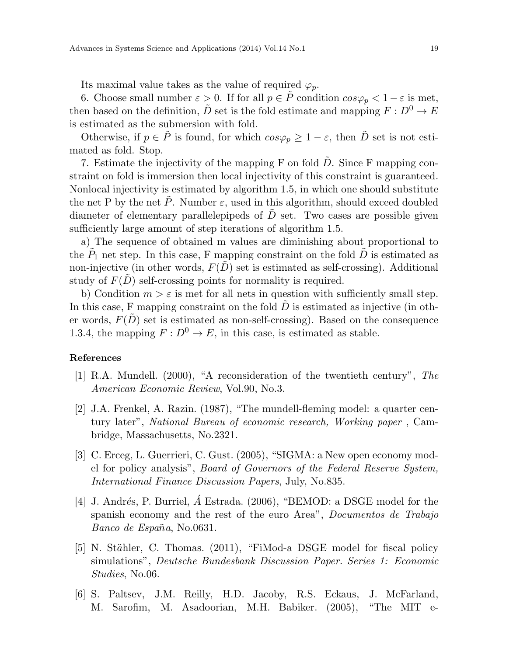Its maximal value takes as the value of required  $\varphi_p$ .

6. Choose small number  $\varepsilon > 0$ . If for all  $p \in \tilde{P}$  condition  $\cos \varphi_p < 1 - \varepsilon$  is met, then based on the definition,  $\tilde{D}$  set is the fold estimate and mapping  $F: D^0 \to E$ is estimated as the submersion with fold.

Otherwise, if  $p \in \tilde{P}$  is found, for which  $\cos \varphi_p \geq 1 - \varepsilon$ , then  $\tilde{D}$  set is not estimated as fold. Stop.

7. Estimate the injectivity of the mapping F on fold  $\tilde{D}$ . Since F mapping constraint on fold is immersion then local injectivity of this constraint is guaranteed. Nonlocal injectivity is estimated by algorithm 1.5, in which one should substitute the net P by the net  $\tilde{P}$ . Number  $\varepsilon$ , used in this algorithm, should exceed doubled diameter of elementary parallelepipeds of  $\ddot{D}$  set. Two cases are possible given sufficiently large amount of step iterations of algorithm 1.5.

a) The sequence of obtained m values are diminishing about proportional to the  $\tilde{P}_1$  net step. In this case, F mapping constraint on the fold  $\tilde{D}$  is estimated as non-injective (in other words,  $F(\tilde{D})$  set is estimated as self-crossing). Additional study of  $F(D)$  self-crossing points for normality is required.

b) Condition  $m > \varepsilon$  is met for all nets in question with sufficiently small step. In this case, F mapping constraint on the fold *D* is estimated as injective (in other words,  $F(\tilde{D})$  set is estimated as non-self-crossing). Based on the consequence 1.3.4, the mapping  $F: D^0 \to E$ , in this case, is estimated as stable.

#### **References**

- [1] R.A. Mundell. (2000), "A reconsideration of the twentieth century", *The American Economic Review*, Vol.90, No.3.
- [2] J.A. Frenkel, A. Razin. (1987), "The mundell-fleming model: a quarter century later", *National Bureau of economic research, Working paper* , Cambridge, Massachusetts, No.2321.
- [3] C. Erceg, L. Guerrieri, C. Gust. (2005), "SIGMA: a New open economy model for policy analysis", *Board of Governors of the Federal Reserve System, International Finance Discussion Papers*, July, No.835.
- [4] J. Andrés, P. Burriel,  $\acute{A}$  Estrada. (2006), "BEMOD: a DSGE model for the spanish economy and the rest of the euro Area", *Documentos de Trabajo Banco de España*, No.0631.
- [5] N. Stähler, C. Thomas. (2011), "FiMod-a DSGE model for fiscal policy simulations", *Deutsche Bundesbank Discussion Paper. Series 1: Economic Studies*, No.06.
- [6] S. Paltsev, J.M. Reilly, H.D. Jacoby, R.S. Eckaus, J. McFarland, M. Sarofim, M. Asadoorian, M.H. Babiker. (2005), "The MIT e-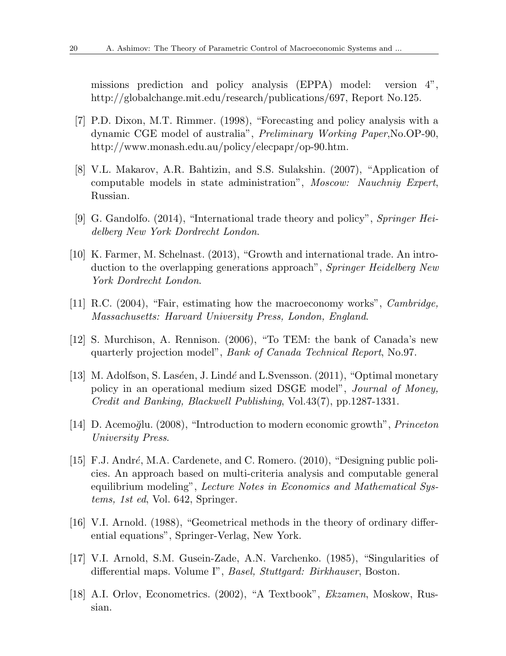missions prediction and policy analysis (EPPA) model: version 4", http://globalchange.mit.edu/research/publications/697, Report No.125.

- [7] P.D. Dixon, M.T. Rimmer. (1998), "Forecasting and policy analysis with a dynamic CGE model of australia", *Preliminary Working Paper*,No.OP-90, http://www.monash.edu.au/policy/elecpapr/op-90.htm.
- [8] V.L. Makarov, A.R. Bahtizin, and S.S. Sulakshin. (2007), "Application of computable models in state administration", *Moscow: Nauchniy Expert*, Russian.
- [9] G. Gandolfo. (2014), "International trade theory and policy", *Springer Heidelberg New York Dordrecht London*.
- [10] K. Farmer, M. Schelnast. (2013), "Growth and international trade. An introduction to the overlapping generations approach", *Springer Heidelberg New York Dordrecht London*.
- [11] R.C. (2004), "Fair, estimating how the macroeconomy works", *Cambridge, Massachusetts: Harvard University Press, London, England*.
- [12] S. Murchison, A. Rennison. (2006), "To TEM: the bank of Canada's new quarterly projection model", *Bank of Canada Technical Report*, No.97.
- [13] M. Adolfson, S. Las´*e*en, J. Lind´*e* and L.Svensson. (2011), "Optimal monetary policy in an operational medium sized DSGE model", *Journal of Money, Credit and Banking, Blackwell Publishing*, Vol.43(7), pp.1287-1331.
- [14] D. Acemo˘*g*lu. (2008), "Introduction to modern economic growth", *Princeton University Press*.
- [15] F.J. Andr´*e*, M.A. Cardenete, and C. Romero. (2010), "Designing public policies. An approach based on multi-criteria analysis and computable general equilibrium modeling", *Lecture Notes in Economics and Mathematical Systems, 1st ed*, Vol. 642, Springer.
- [16] V.I. Arnold. (1988), "Geometrical methods in the theory of ordinary differential equations", Springer-Verlag, New York.
- [17] V.I. Arnold, S.M. Gusein-Zade, A.N. Varchenko. (1985), "Singularities of differential maps. Volume I", *Basel, Stuttgard: Birkhauser*, Boston.
- [18] A.I. Orlov, Econometrics. (2002), "A Textbook", *Ekzamen*, Moskow, Russian.